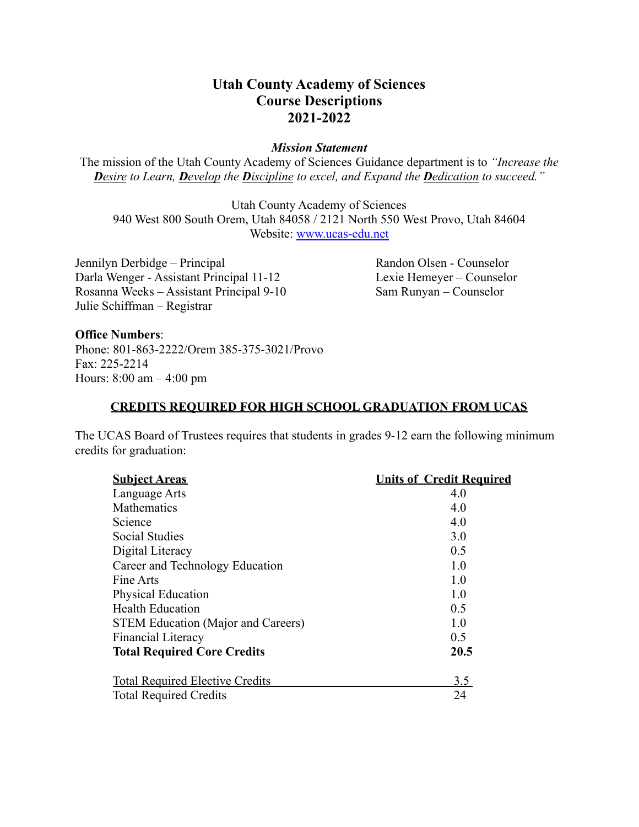## **Utah County Academy of Sciences Course Descriptions 2021-2022**

#### *Mission Statement*

The mission of the Utah County Academy of Sciences Guidance department is to *"Increase the Desire to Learn, Develop the Discipline to excel, and Expand the Dedication to succeed."*

Utah County Academy of Sciences 940 West 800 South Orem, Utah 84058 / 2121 North 550 West Provo, Utah 84604 Website: [www.ucas-edu.net](http://www.ucas-edu.net)

Jennilyn Derbidge – Principal Randon Olsen - Counselor Darla Wenger - Assistant Principal 11-12 Lexie Hemeyer – Counselor Rosanna Weeks – Assistant Principal 9-10 Sam Runyan – Counselor Julie Schiffman – Registrar

#### **Office Numbers**:

Phone: 801-863-2222/Orem 385-375-3021/Provo Fax: 225-2214 Hours: 8:00 am – 4:00 pm

#### **CREDITS REQUIRED FOR HIGH SCHOOL GRADUATION FROM UCAS**

The UCAS Board of Trustees requires that students in grades 9-12 earn the following minimum credits for graduation:

| <b>Subject Areas</b>                      | <b>Units of Credit Required</b> |
|-------------------------------------------|---------------------------------|
| Language Arts                             | 4.0                             |
| Mathematics                               | 4.0                             |
| Science                                   | 4.0                             |
| <b>Social Studies</b>                     | 3.0                             |
| Digital Literacy                          | 0.5                             |
| Career and Technology Education           | 1.0                             |
| Fine Arts                                 | 1.0                             |
| <b>Physical Education</b>                 | 1.0                             |
| <b>Health Education</b>                   | 0.5                             |
| <b>STEM Education (Major and Careers)</b> | 1.0                             |
| <b>Financial Literacy</b>                 | 0.5                             |
| <b>Total Required Core Credits</b>        | 20.5                            |
| <b>Total Required Elective Credits</b>    | 3.5                             |
| <b>Total Required Credits</b>             | 24                              |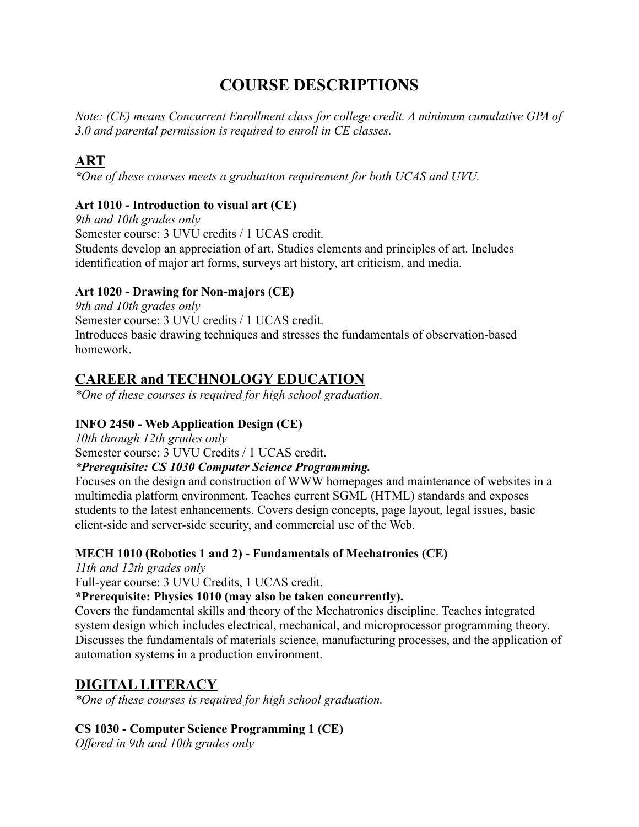# **COURSE DESCRIPTIONS**

*Note: (CE) means Concurrent Enrollment class for college credit. A minimum cumulative GPA of 3.0 and parental permission is required to enroll in CE classes.*

## **ART**

*\*One of these courses meets a graduation requirement for both UCAS and UVU.*

#### **Art 1010 - Introduction to visual art (CE)**

*9th and 10th grades only* Semester course: 3 UVU credits / 1 UCAS credit. Students develop an appreciation of art. Studies elements and principles of art. Includes identification of major art forms, surveys art history, art criticism, and media.

### **Art 1020 - Drawing for Non-majors (CE)**

*9th and 10th grades only* Semester course: 3 UVU credits / 1 UCAS credit. Introduces basic drawing techniques and stresses the fundamentals of observation-based homework.

## **CAREER and TECHNOLOGY EDUCATION**

*\*One of these courses is required for high school graduation.*

#### **INFO 2450 - Web Application Design (CE)**

*10th through 12th grades only* Semester course: 3 UVU Credits / 1 UCAS credit.

#### *\*Prerequisite: CS 1030 Computer Science Programming.*

Focuses on the design and construction of WWW homepages and maintenance of websites in a multimedia platform environment. Teaches current SGML (HTML) standards and exposes students to the latest enhancements. Covers design concepts, page layout, legal issues, basic client-side and server-side security, and commercial use of the Web.

## **MECH 1010 (Robotics 1 and 2) - Fundamentals of Mechatronics (CE)**

*11th and 12th grades only*

Full-year course: 3 UVU Credits, 1 UCAS credit.

**\*Prerequisite: Physics 1010 (may also be taken concurrently).**

Covers the fundamental skills and theory of the Mechatronics discipline. Teaches integrated system design which includes electrical, mechanical, and microprocessor programming theory. Discusses the fundamentals of materials science, manufacturing processes, and the application of automation systems in a production environment.

## **DIGITAL LITERACY**

*\*One of these courses is required for high school graduation.*

## **CS 1030 - Computer Science Programming 1 (CE)**

*Offered in 9th and 10th grades only*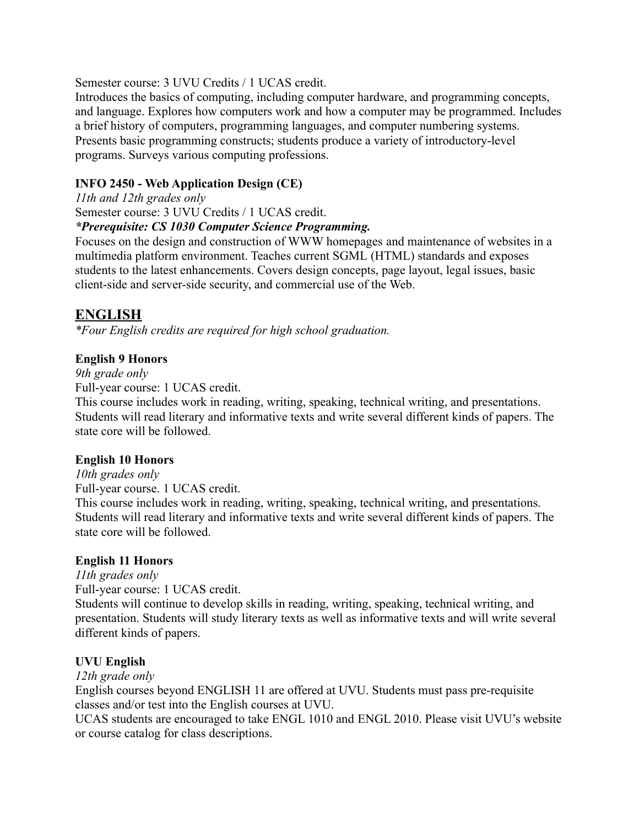#### Semester course: 3 UVU Credits / 1 UCAS credit.

Introduces the basics of computing, including computer hardware, and programming concepts, and language. Explores how computers work and how a computer may be programmed. Includes a brief history of computers, programming languages, and computer numbering systems. Presents basic programming constructs; students produce a variety of introductory-level programs. Surveys various computing professions.

### **INFO 2450 - Web Application Design (CE)**

*11th and 12th grades only*

Semester course: 3 UVU Credits / 1 UCAS credit.

#### *\*Prerequisite: CS 1030 Computer Science Programming.*

Focuses on the design and construction of WWW homepages and maintenance of websites in a multimedia platform environment. Teaches current SGML (HTML) standards and exposes students to the latest enhancements. Covers design concepts, page layout, legal issues, basic client-side and server-side security, and commercial use of the Web.

## **ENGLISH**

*\*Four English credits are required for high school graduation.*

### **English 9 Honors**

*9th grade only*

Full-year course: 1 UCAS credit.

This course includes work in reading, writing, speaking, technical writing, and presentations. Students will read literary and informative texts and write several different kinds of papers. The state core will be followed.

#### **English 10 Honors**

*10th grades only*

Full-year course. 1 UCAS credit.

This course includes work in reading, writing, speaking, technical writing, and presentations. Students will read literary and informative texts and write several different kinds of papers. The state core will be followed.

#### **English 11 Honors**

*11th grades only*

Full-year course: 1 UCAS credit.

Students will continue to develop skills in reading, writing, speaking, technical writing, and presentation. Students will study literary texts as well as informative texts and will write several different kinds of papers.

#### **UVU English**

#### *12th grade only*

English courses beyond ENGLISH 11 are offered at UVU. Students must pass pre-requisite classes and/or test into the English courses at UVU.

UCAS students are encouraged to take ENGL 1010 and ENGL 2010. Please visit UVU's website or course catalog for class descriptions.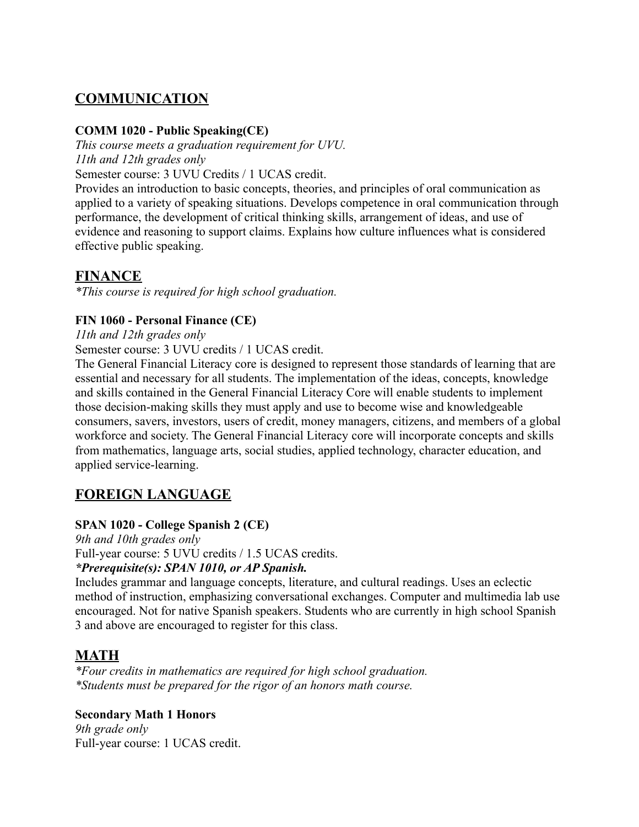## **COMMUNICATION**

#### **COMM 1020 - Public Speaking(CE)**

*This course meets a graduation requirement for UVU. 11th and 12th grades only*

Semester course: 3 UVU Credits / 1 UCAS credit.

Provides an introduction to basic concepts, theories, and principles of oral communication as applied to a variety of speaking situations. Develops competence in oral communication through performance, the development of critical thinking skills, arrangement of ideas, and use of evidence and reasoning to support claims. Explains how culture influences what is considered effective public speaking.

## **FINANCE**

*\*This course is required for high school graduation.*

### **FIN 1060 - Personal Finance (CE)**

*11th and 12th grades only*

Semester course: 3 UVU credits / 1 UCAS credit.

The General Financial Literacy core is designed to represent those standards of learning that are essential and necessary for all students. The implementation of the ideas, concepts, knowledge and skills contained in the General Financial Literacy Core will enable students to implement those decision-making skills they must apply and use to become wise and knowledgeable consumers, savers, investors, users of credit, money managers, citizens, and members of a global workforce and society. The General Financial Literacy core will incorporate concepts and skills from mathematics, language arts, social studies, applied technology, character education, and applied service-learning.

## **FOREIGN LANGUAGE**

#### **SPAN 1020 - College Spanish 2 (CE)**

*9th and 10th grades only*

Full-year course: 5 UVU credits / 1.5 UCAS credits.

#### *\*Prerequisite(s): SPAN 1010, or AP Spanish.*

Includes grammar and language concepts, literature, and cultural readings. Uses an eclectic method of instruction, emphasizing conversational exchanges. Computer and multimedia lab use encouraged. Not for native Spanish speakers. Students who are currently in high school Spanish 3 and above are encouraged to register for this class.

## **MATH**

*\*Four credits in mathematics are required for high school graduation. \*Students must be prepared for the rigor of an honors math course.*

#### **Secondary Math 1 Honors**

*9th grade only* Full-year course: 1 UCAS credit.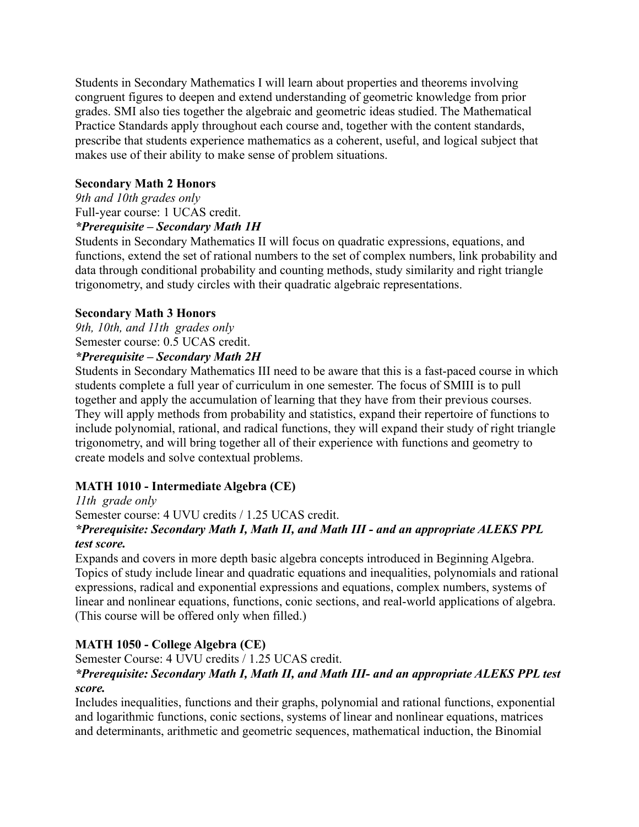Students in Secondary Mathematics I will learn about properties and theorems involving congruent figures to deepen and extend understanding of geometric knowledge from prior grades. SMI also ties together the algebraic and geometric ideas studied. The Mathematical Practice Standards apply throughout each course and, together with the content standards, prescribe that students experience mathematics as a coherent, useful, and logical subject that makes use of their ability to make sense of problem situations.

#### **Secondary Math 2 Honors**

*9th and 10th grades only* Full-year course: 1 UCAS credit. *\*Prerequisite – Secondary Math 1H*

Students in Secondary Mathematics II will focus on quadratic expressions, equations, and functions, extend the set of rational numbers to the set of complex numbers, link probability and data through conditional probability and counting methods, study similarity and right triangle trigonometry, and study circles with their quadratic algebraic representations.

#### **Secondary Math 3 Honors**

*9th, 10th, and 11th grades only* Semester course: 0.5 UCAS credit. *\*Prerequisite – Secondary Math 2H*

Students in Secondary Mathematics III need to be aware that this is a fast-paced course in which students complete a full year of curriculum in one semester. The focus of SMIII is to pull together and apply the accumulation of learning that they have from their previous courses. They will apply methods from probability and statistics, expand their repertoire of functions to include polynomial, rational, and radical functions, they will expand their study of right triangle trigonometry, and will bring together all of their experience with functions and geometry to create models and solve contextual problems.

#### **MATH 1010 - Intermediate Algebra (CE)**

*11th grade only* Semester course: 4 UVU credits / 1.25 UCAS credit. *\*Prerequisite: Secondary Math I, Math II, and Math III - and an appropriate ALEKS PPL test score.*

Expands and covers in more depth basic algebra concepts introduced in Beginning Algebra. Topics of study include linear and quadratic equations and inequalities, polynomials and rational expressions, radical and exponential expressions and equations, complex numbers, systems of linear and nonlinear equations, functions, conic sections, and real-world applications of algebra. (This course will be offered only when filled.)

#### **MATH 1050 - College Algebra (CE)**

Semester Course: 4 UVU credits / 1.25 UCAS credit.

#### *\*Prerequisite: Secondary Math I, Math II, and Math III- and an appropriate ALEKS PPL test score.*

Includes inequalities, functions and their graphs, polynomial and rational functions, exponential and logarithmic functions, conic sections, systems of linear and nonlinear equations, matrices and determinants, arithmetic and geometric sequences, mathematical induction, the Binomial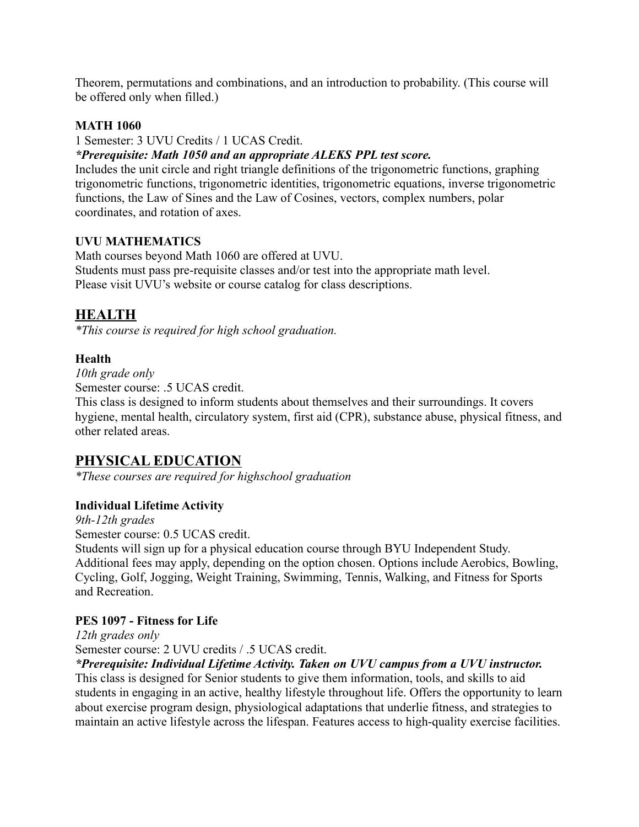Theorem, permutations and combinations, and an introduction to probability. (This course will be offered only when filled.)

#### **MATH 1060**

1 Semester: 3 UVU Credits / 1 UCAS Credit.

#### *\*Prerequisite: Math 1050 and an appropriate ALEKS PPL test score.*

Includes the unit circle and right triangle definitions of the trigonometric functions, graphing trigonometric functions, trigonometric identities, trigonometric equations, inverse trigonometric functions, the Law of Sines and the Law of Cosines, vectors, complex numbers, polar coordinates, and rotation of axes.

#### **UVU MATHEMATICS**

Math courses beyond Math 1060 are offered at UVU. Students must pass pre-requisite classes and/or test into the appropriate math level. Please visit UVU's website or course catalog for class descriptions.

## **HEALTH**

*\*This course is required for high school graduation.*

### **Health**

*10th grade only* Semester course: .5 UCAS credit.

This class is designed to inform students about themselves and their surroundings. It covers hygiene, mental health, circulatory system, first aid (CPR), substance abuse, physical fitness, and other related areas.

## **PHYSICAL EDUCATION**

*\*These courses are required for highschool graduation*

## **Individual Lifetime Activity**

*9th-12th grades*

Semester course: 0.5 UCAS credit.

Students will sign up for a physical education course through BYU Independent Study. Additional fees may apply, depending on the option chosen. Options include Aerobics, Bowling, Cycling, Golf, Jogging, Weight Training, Swimming, Tennis, Walking, and Fitness for Sports and Recreation.

#### **PES 1097 - Fitness for Life**

*12th grades only*

Semester course: 2 UVU credits / .5 UCAS credit.

#### *\*Prerequisite: Individual Lifetime Activity. Taken on UVU campus from a UVU instructor.*

This class is designed for Senior students to give them information, tools, and skills to aid students in engaging in an active, healthy lifestyle throughout life. Offers the opportunity to learn about exercise program design, physiological adaptations that underlie fitness, and strategies to maintain an active lifestyle across the lifespan. Features access to high-quality exercise facilities.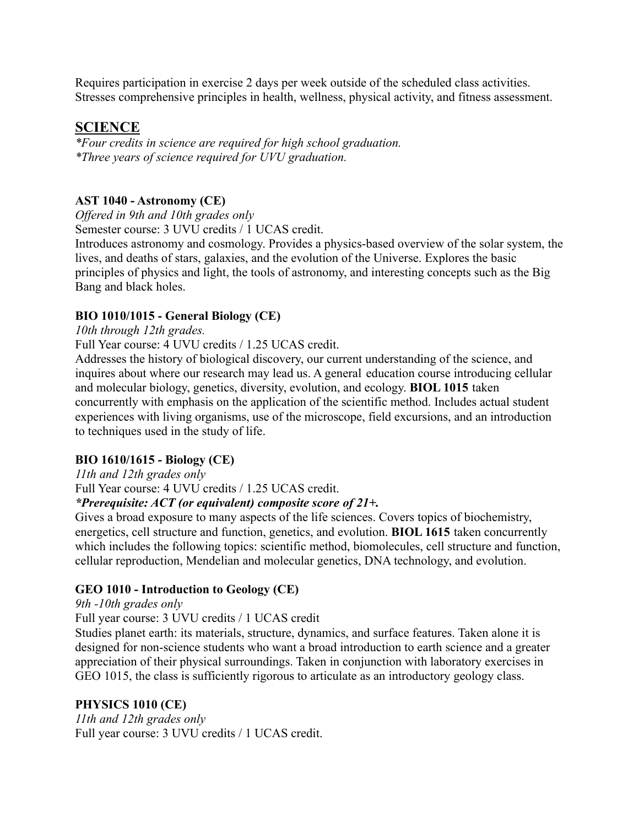Requires participation in exercise 2 days per week outside of the scheduled class activities. Stresses comprehensive principles in health, wellness, physical activity, and fitness assessment.

## **SCIENCE**

*\*Four credits in science are required for high school graduation. \*Three years of science required for UVU graduation.*

### **AST 1040 - Astronomy (CE)**

*Offered in 9th and 10th grades only*

Semester course: 3 UVU credits / 1 UCAS credit.

Introduces astronomy and cosmology. Provides a physics-based overview of the solar system, the lives, and deaths of stars, galaxies, and the evolution of the Universe. Explores the basic principles of physics and light, the tools of astronomy, and interesting concepts such as the Big Bang and black holes.

## **BIO 1010/1015 - General Biology (CE)**

*10th through 12th grades.*

Full Year course: 4 UVU credits / 1.25 UCAS credit.

Addresses the history of biological discovery, our current understanding of the science, and inquires about where our research may lead us. A general education course introducing cellular and molecular biology, genetics, diversity, evolution, and ecology. **BIOL 1015** taken concurrently with emphasis on the application of the scientific method. Includes actual student experiences with living organisms, use of the microscope, field excursions, and an introduction to techniques used in the study of life.

## **BIO 1610/1615 - Biology (CE)**

*11th and 12th grades only*

Full Year course: 4 UVU credits / 1.25 UCAS credit.

#### *\*Prerequisite: ACT (or equivalent) composite score of 21+.*

Gives a broad exposure to many aspects of the life sciences. Covers topics of biochemistry, energetics, cell structure and function, genetics, and evolution. **BIOL 1615** taken concurrently which includes the following topics: scientific method, biomolecules, cell structure and function, cellular reproduction, Mendelian and molecular genetics, DNA technology, and evolution.

## **GEO 1010 - Introduction to Geology (CE)**

*9th -10th grades only*

Full year course: 3 UVU credits / 1 UCAS credit

Studies planet earth: its materials, structure, dynamics, and surface features. Taken alone it is designed for non-science students who want a broad introduction to earth science and a greater appreciation of their physical surroundings. Taken in conjunction with laboratory exercises in GEO 1015, the class is sufficiently rigorous to articulate as an introductory geology class.

#### **PHYSICS 1010 (CE)**

*11th and 12th grades only* Full year course: 3 UVU credits / 1 UCAS credit.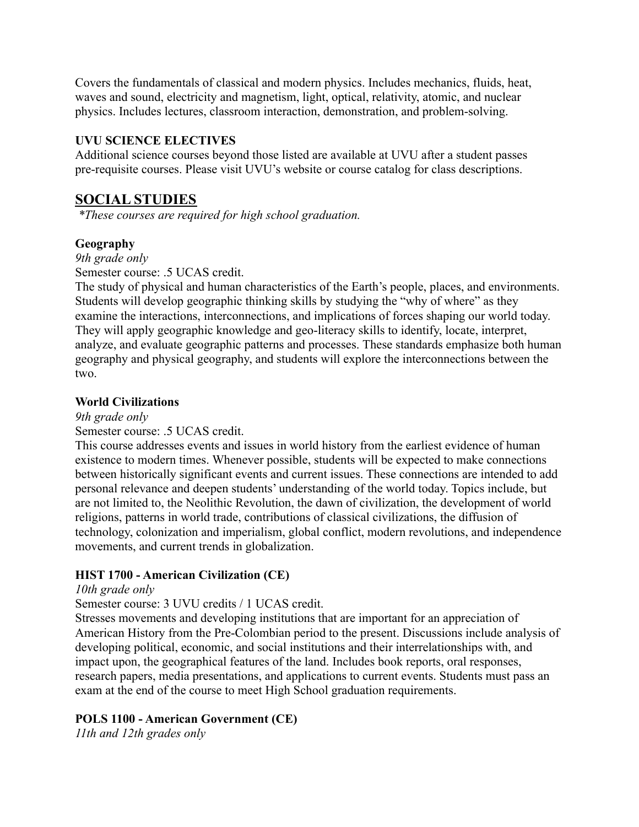Covers the fundamentals of classical and modern physics. Includes mechanics, fluids, heat, waves and sound, electricity and magnetism, light, optical, relativity, atomic, and nuclear physics. Includes lectures, classroom interaction, demonstration, and problem-solving.

#### **UVU SCIENCE ELECTIVES**

Additional science courses beyond those listed are available at UVU after a student passes pre-requisite courses. Please visit UVU's website or course catalog for class descriptions.

## **SOCIAL STUDIES**

*\*These courses are required for high school graduation.*

## **Geography**

*9th grade only*

Semester course: .5 UCAS credit.

The study of physical and human characteristics of the Earth's people, places, and environments. Students will develop geographic thinking skills by studying the "why of where" as they examine the interactions, interconnections, and implications of forces shaping our world today. They will apply geographic knowledge and geo-literacy skills to identify, locate, interpret, analyze, and evaluate geographic patterns and processes. These standards emphasize both human geography and physical geography, and students will explore the interconnections between the two.

### **World Civilizations**

*9th grade only*

#### Semester course: .5 UCAS credit.

This course addresses events and issues in world history from the earliest evidence of human existence to modern times. Whenever possible, students will be expected to make connections between historically significant events and current issues. These connections are intended to add personal relevance and deepen students' understanding of the world today. Topics include, but are not limited to, the Neolithic Revolution, the dawn of civilization, the development of world religions, patterns in world trade, contributions of classical civilizations, the diffusion of technology, colonization and imperialism, global conflict, modern revolutions, and independence movements, and current trends in globalization.

## **HIST 1700 - American Civilization (CE)**

#### *10th grade only*

Semester course: 3 UVU credits / 1 UCAS credit.

Stresses movements and developing institutions that are important for an appreciation of American History from the Pre-Colombian period to the present. Discussions include analysis of developing political, economic, and social institutions and their interrelationships with, and impact upon, the geographical features of the land. Includes book reports, oral responses, research papers, media presentations, and applications to current events. Students must pass an exam at the end of the course to meet High School graduation requirements.

## **POLS 1100 - American Government (CE)**

*11th and 12th grades only*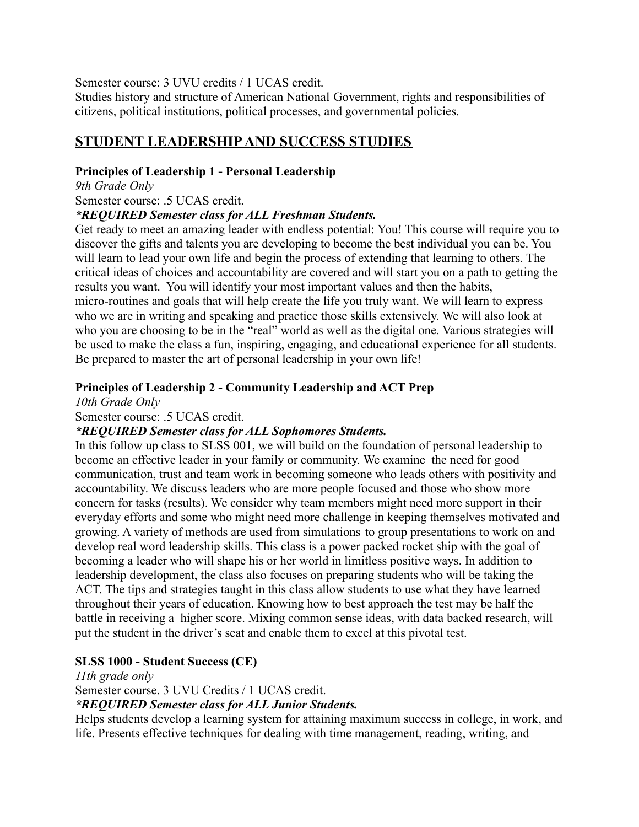Semester course: 3 UVU credits / 1 UCAS credit.

Studies history and structure of American National Government, rights and responsibilities of citizens, political institutions, political processes, and governmental policies.

## **STUDENT LEADERSHIPAND SUCCESS STUDIES**

#### **Principles of Leadership 1 - Personal Leadership**

*9th Grade Only* Semester course: .5 UCAS credit.

#### *\*REQUIRED Semester class for ALL Freshman Students.*

Get ready to meet an amazing leader with endless potential: You! This course will require you to discover the gifts and talents you are developing to become the best individual you can be. You will learn to lead your own life and begin the process of extending that learning to others. The critical ideas of choices and accountability are covered and will start you on a path to getting the results you want. You will identify your most important values and then the habits, micro-routines and goals that will help create the life you truly want. We will learn to express who we are in writing and speaking and practice those skills extensively. We will also look at who you are choosing to be in the "real" world as well as the digital one. Various strategies will be used to make the class a fun, inspiring, engaging, and educational experience for all students. Be prepared to master the art of personal leadership in your own life!

#### **Principles of Leadership 2 - Community Leadership and ACT Prep**

*10th Grade Only*

Semester course: .5 UCAS credit.

#### *\*REQUIRED Semester class for ALL Sophomores Students.*

In this follow up class to SLSS 001, we will build on the foundation of personal leadership to become an effective leader in your family or community. We examine the need for good communication, trust and team work in becoming someone who leads others with positivity and accountability. We discuss leaders who are more people focused and those who show more concern for tasks (results). We consider why team members might need more support in their everyday efforts and some who might need more challenge in keeping themselves motivated and growing. A variety of methods are used from simulations to group presentations to work on and develop real word leadership skills. This class is a power packed rocket ship with the goal of becoming a leader who will shape his or her world in limitless positive ways. In addition to leadership development, the class also focuses on preparing students who will be taking the ACT. The tips and strategies taught in this class allow students to use what they have learned throughout their years of education. Knowing how to best approach the test may be half the battle in receiving a higher score. Mixing common sense ideas, with data backed research, will put the student in the driver's seat and enable them to excel at this pivotal test.

#### **SLSS 1000 - Student Success (CE)**

#### *11th grade only*

Semester course. 3 UVU Credits / 1 UCAS credit.

*\*REQUIRED Semester class for ALL Junior Students.*

Helps students develop a learning system for attaining maximum success in college, in work, and life. Presents effective techniques for dealing with time management, reading, writing, and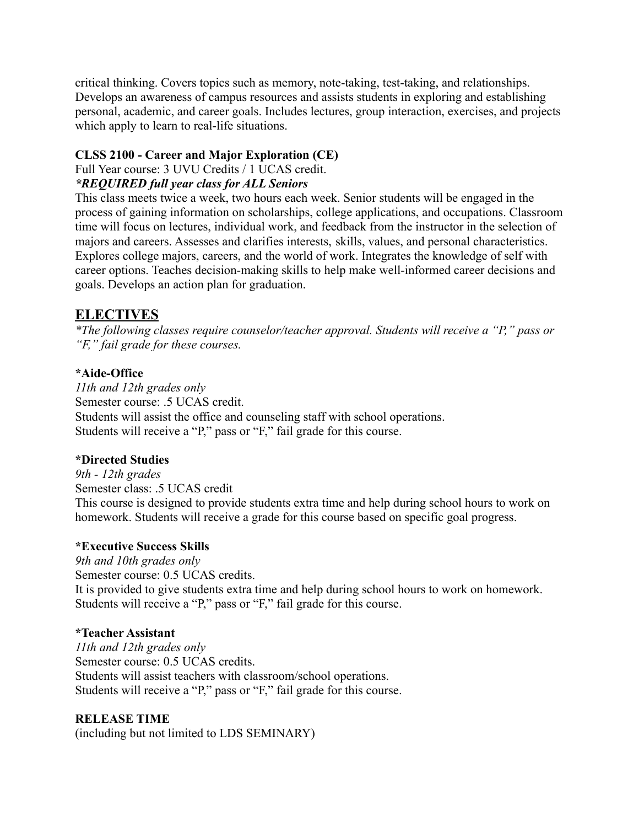critical thinking. Covers topics such as memory, note-taking, test-taking, and relationships. Develops an awareness of campus resources and assists students in exploring and establishing personal, academic, and career goals. Includes lectures, group interaction, exercises, and projects which apply to learn to real-life situations.

### **CLSS 2100 - Career and Major Exploration (CE)**

Full Year course: 3 UVU Credits / 1 UCAS credit.

#### *\*REQUIRED full year class for ALL Seniors*

This class meets twice a week, two hours each week. Senior students will be engaged in the process of gaining information on scholarships, college applications, and occupations. Classroom time will focus on lectures, individual work, and feedback from the instructor in the selection of majors and careers. Assesses and clarifies interests, skills, values, and personal characteristics. Explores college majors, careers, and the world of work. Integrates the knowledge of self with career options. Teaches decision-making skills to help make well-informed career decisions and goals. Develops an action plan for graduation.

## **ELECTIVES**

*\*The following classes require counselor/teacher approval. Students will receive a "P," pass or "F," fail grade for these courses.*

## **\*Aide-Office**

*11th and 12th grades only* Semester course: .5 UCAS credit. Students will assist the office and counseling staff with school operations. Students will receive a "P," pass or "F," fail grade for this course.

## **\*Directed Studies**

*9th - 12th grades* Semester class: .5 UCAS credit This course is designed to provide students extra time and help during school hours to work on homework. Students will receive a grade for this course based on specific goal progress.

## **\*Executive Success Skills**

*9th and 10th grades only* Semester course: 0.5 UCAS credits. It is provided to give students extra time and help during school hours to work on homework. Students will receive a "P," pass or "F," fail grade for this course.

## **\*Teacher Assistant**

*11th and 12th grades only* Semester course: 0.5 UCAS credits. Students will assist teachers with classroom/school operations. Students will receive a "P," pass or "F," fail grade for this course.

## **RELEASE TIME**

(including but not limited to LDS SEMINARY)